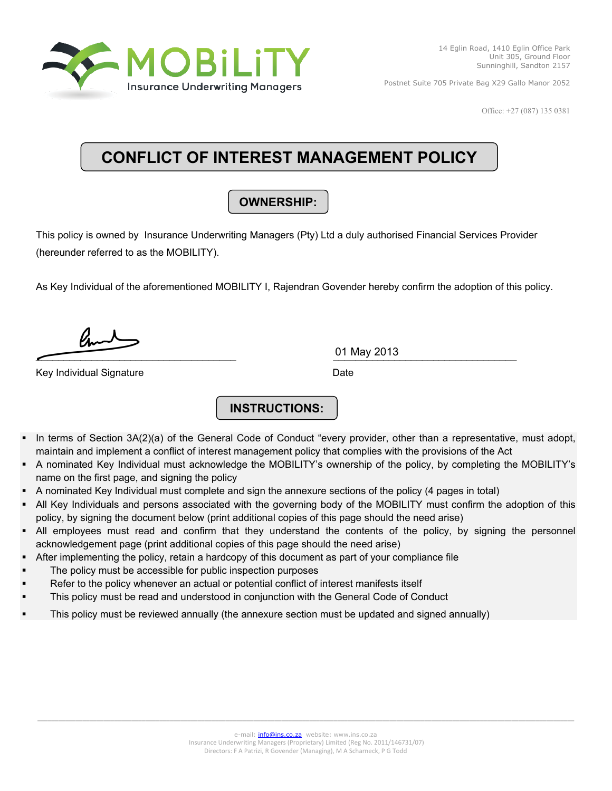

Office: +27 (087) 135 0381

# **CONFLICT OF INTEREST MANAGEMENT POLICY**

## **OWNERSHIP:**

This policy is owned by Insurance Underwriting Managers (Pty) Ltd a duly authorised Financial Services Provider (hereunder referred to as the MOBILITY).

As Key Individual of the aforementioned MOBILITY I, Rajendran Govender hereby confirm the adoption of this policy.

 $\frac{0.1 \text{ May } 2013}{\text{My } 2013}$ 

Key Individual Signature **Date** Date **Date** 

01 May 2013

## **INSTRUCTIONS:**

- In terms of Section 3A(2)(a) of the General Code of Conduct "every provider, other than a representative, must adopt, maintain and implement a conflict of interest management policy that complies with the provisions of the Act
- A nominated Key Individual must acknowledge the MOBILITY's ownership of the policy, by completing the MOBILITY's name on the first page, and signing the policy
- A nominated Key Individual must complete and sign the annexure sections of the policy (4 pages in total)
- All Key Individuals and persons associated with the governing body of the MOBILITY must confirm the adoption of this policy, by signing the document below (print additional copies of this page should the need arise)
- All employees must read and confirm that they understand the contents of the policy, by signing the personnel acknowledgement page (print additional copies of this page should the need arise)
- After implementing the policy, retain a hardcopy of this document as part of your compliance file
- The policy must be accessible for public inspection purposes
- Refer to the policy whenever an actual or potential conflict of interest manifests itself
- This policy must be read and understood in conjunction with the General Code of Conduct
- This policy must be reviewed annually (the annexure section must be updated and signed annually)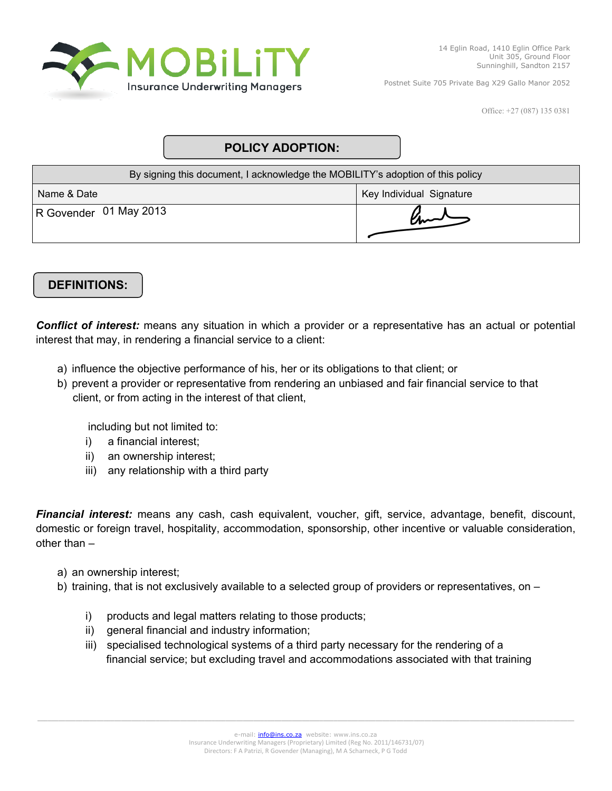

Office: +27 (087) 135 0381

## **POLICY ADOPTION:**

| By signing this document, I acknowledge the MOBILITY's adoption of this policy |                          |
|--------------------------------------------------------------------------------|--------------------------|
| Name & Date                                                                    | Key Individual Signature |
| R Govender 01 May 2013                                                         |                          |

## **DEFINITIONS:**

*Conflict of interest:* means any situation in which a provider or a representative has an actual or potential interest that may, in rendering a financial service to a client:

- a) influence the objective performance of his, her or its obligations to that client; or
- b) prevent a provider or representative from rendering an unbiased and fair financial service to that client, or from acting in the interest of that client,

including but not limited to:

- i) a financial interest;
- ii) an ownership interest;
- iii) any relationship with a third party

*Financial interest:* means any cash, cash equivalent, voucher, gift, service, advantage, benefit, discount, domestic or foreign travel, hospitality, accommodation, sponsorship, other incentive or valuable consideration, other than –

- a) an ownership interest;
- b) training, that is not exclusively available to a selected group of providers or representatives, on
	- i) products and legal matters relating to those products;
	- ii) general financial and industry information;
	- iii) specialised technological systems of a third party necessary for the rendering of a financial service; but excluding travel and accommodations associated with that training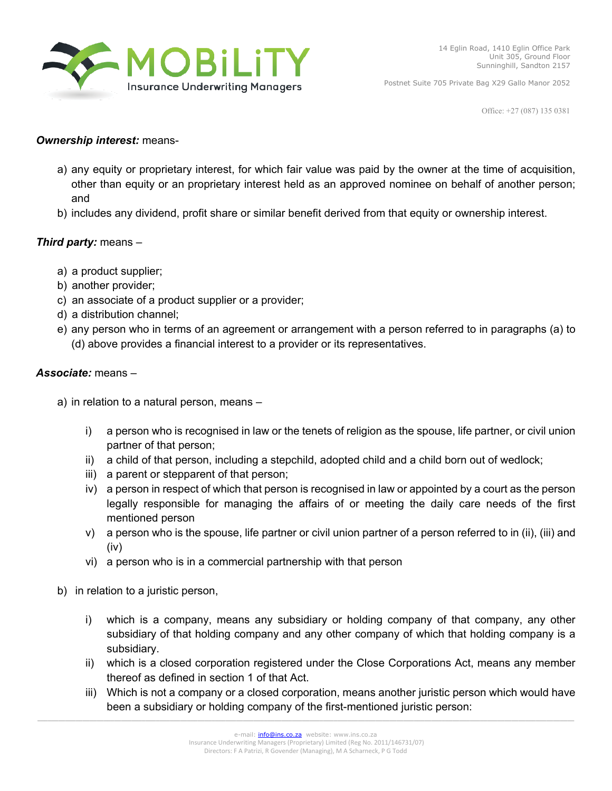

Office: +27 (087) 135 0381

#### *Ownership interest:* means-

- a) any equity or proprietary interest, for which fair value was paid by the owner at the time of acquisition, other than equity or an proprietary interest held as an approved nominee on behalf of another person; and
- b) includes any dividend, profit share or similar benefit derived from that equity or ownership interest.

#### *Third party:* means –

- a) a product supplier;
- b) another provider;
- c) an associate of a product supplier or a provider;
- d) a distribution channel;
- e) any person who in terms of an agreement or arrangement with a person referred to in paragraphs (a) to (d) above provides a financial interest to a provider or its representatives.

#### *Associate:* means –

a) in relation to a natural person, means –

- i) a person who is recognised in law or the tenets of religion as the spouse, life partner, or civil union partner of that person;
- ii) a child of that person, including a stepchild, adopted child and a child born out of wedlock;
- iii) a parent or stepparent of that person;
- iv) a person in respect of which that person is recognised in law or appointed by a court as the person legally responsible for managing the affairs of or meeting the daily care needs of the first mentioned person
- v) a person who is the spouse, life partner or civil union partner of a person referred to in (ii), (iii) and (iv)
- vi) a person who is in a commercial partnership with that person
- b) in relation to a juristic person,
	- i) which is a company, means any subsidiary or holding company of that company, any other subsidiary of that holding company and any other company of which that holding company is a subsidiary.
	- ii) which is a closed corporation registered under the Close Corporations Act, means any member thereof as defined in section 1 of that Act.
	- iii) Which is not a company or a closed corporation, means another juristic person which would have been a subsidiary or holding company of the first-mentioned juristic person: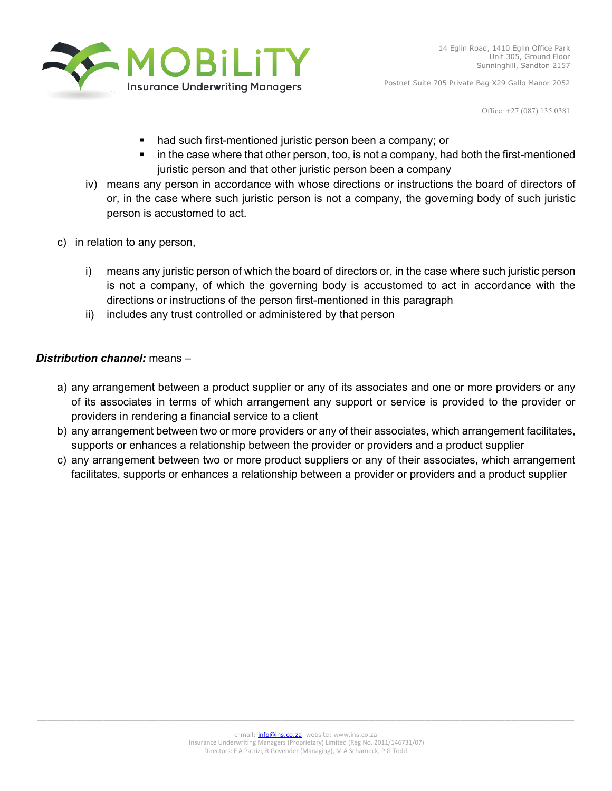

Office: +27 (087) 135 0381

- **had such first-mentioned juristic person been a company; or**
- in the case where that other person, too, is not a company, had both the first-mentioned juristic person and that other juristic person been a company
- iv) means any person in accordance with whose directions or instructions the board of directors of or, in the case where such juristic person is not a company, the governing body of such juristic person is accustomed to act.
- c) in relation to any person,
	- i) means any juristic person of which the board of directors or, in the case where such juristic person is not a company, of which the governing body is accustomed to act in accordance with the directions or instructions of the person first-mentioned in this paragraph
	- ii) includes any trust controlled or administered by that person

#### *Distribution channel:* means –

- a) any arrangement between a product supplier or any of its associates and one or more providers or any of its associates in terms of which arrangement any support or service is provided to the provider or providers in rendering a financial service to a client
- b) any arrangement between two or more providers or any of their associates, which arrangement facilitates, supports or enhances a relationship between the provider or providers and a product supplier
- c) any arrangement between two or more product suppliers or any of their associates, which arrangement facilitates, supports or enhances a relationship between a provider or providers and a product supplier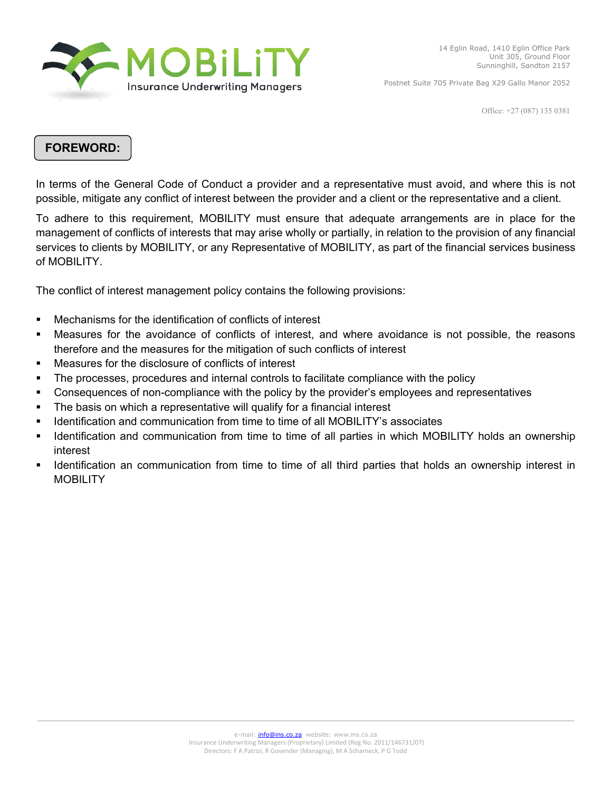

Office: +27 (087) 135 0381

#### **FOREWORD:**

In terms of the General Code of Conduct a provider and a representative must avoid, and where this is not possible, mitigate any conflict of interest between the provider and a client or the representative and a client.

To adhere to this requirement, MOBILITY must ensure that adequate arrangements are in place for the management of conflicts of interests that may arise wholly or partially, in relation to the provision of any financial services to clients by MOBILITY, or any Representative of MOBILITY, as part of the financial services business of MOBILITY.

The conflict of interest management policy contains the following provisions:

- Mechanisms for the identification of conflicts of interest
- Measures for the avoidance of conflicts of interest, and where avoidance is not possible, the reasons therefore and the measures for the mitigation of such conflicts of interest
- Measures for the disclosure of conflicts of interest
- The processes, procedures and internal controls to facilitate compliance with the policy
- Consequences of non-compliance with the policy by the provider's employees and representatives
- The basis on which a representative will qualify for a financial interest
- **IDENTIFY** Identification and communication from time to time of all MOBILITY's associates
- I Identification and communication from time to time of all parties in which MOBILITY holds an ownership interest
- **IDENTIFY IDENTIFY 10** identification an communication from time to time to fall third parties that holds an ownership interest in **MOBILITY**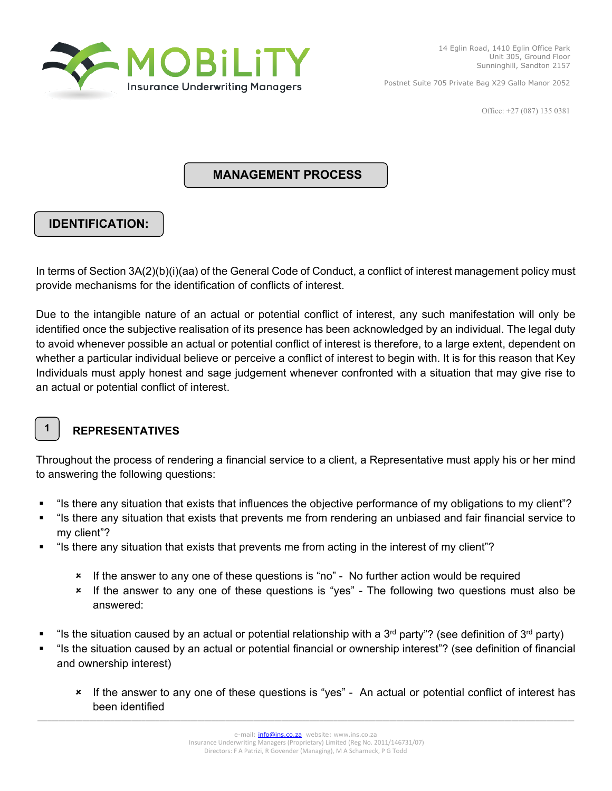

Office: +27 (087) 135 0381

#### **MANAGEMENT PROCESS**

## **IDENTIFICATION:**

In terms of Section 3A(2)(b)(i)(aa) of the General Code of Conduct, a conflict of interest management policy must provide mechanisms for the identification of conflicts of interest.

Due to the intangible nature of an actual or potential conflict of interest, any such manifestation will only be identified once the subjective realisation of its presence has been acknowledged by an individual. The legal duty to avoid whenever possible an actual or potential conflict of interest is therefore, to a large extent, dependent on whether a particular individual believe or perceive a conflict of interest to begin with. It is for this reason that Key Individuals must apply honest and sage judgement whenever confronted with a situation that may give rise to an actual or potential conflict of interest.



## **REPRESENTATIVES**

Throughout the process of rendering a financial service to a client, a Representative must apply his or her mind to answering the following questions:

- "Is there any situation that exists that influences the objective performance of my obligations to my client"?
- "Is there any situation that exists that prevents me from rendering an unbiased and fair financial service to my client"?
- "Is there any situation that exists that prevents me from acting in the interest of my client"?
	- If the answer to any one of these questions is "no" No further action would be required
	- If the answer to any one of these questions is "yes" The following two questions must also be answered:
- "Is the situation caused by an actual or potential relationship with a 3<sup>rd</sup> party"? (see definition of 3<sup>rd</sup> party)
- "Is the situation caused by an actual or potential financial or ownership interest"? (see definition of financial and ownership interest)
	- If the answer to any one of these questions is "yes" An actual or potential conflict of interest has been identified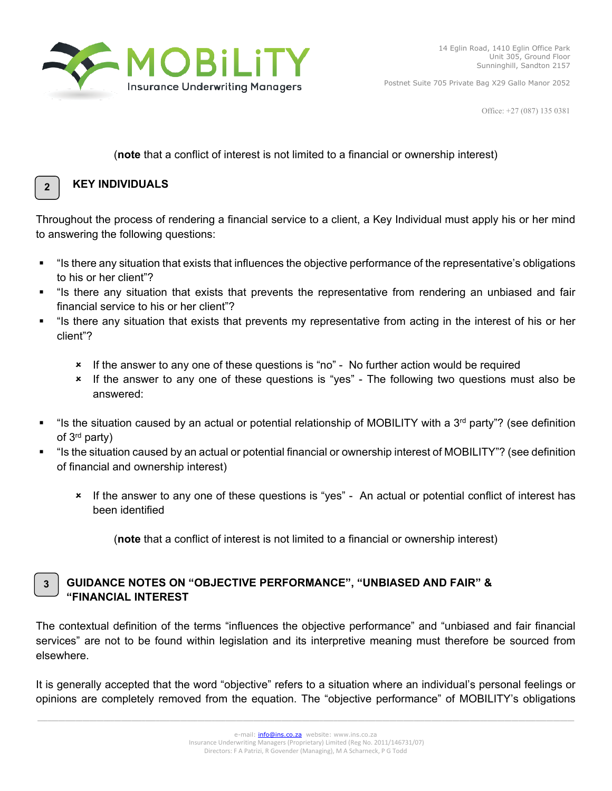

Office: +27 (087) 135 0381

#### (**note** that a conflict of interest is not limited to a financial or ownership interest)



#### **KEY INDIVIDUALS**

Throughout the process of rendering a financial service to a client, a Key Individual must apply his or her mind to answering the following questions:

- "Is there any situation that exists that influences the objective performance of the representative's obligations to his or her client"?
- "Is there any situation that exists that prevents the representative from rendering an unbiased and fair financial service to his or her client"?
- "Is there any situation that exists that prevents my representative from acting in the interest of his or her client"?
	- If the answer to any one of these questions is "no" No further action would be required
	- If the answer to any one of these questions is "yes" The following two questions must also be answered:
- "Is the situation caused by an actual or potential relationship of MOBILITY with a 3<sup>rd</sup> party"? (see definition of 3rd party)
- "Is the situation caused by an actual or potential financial or ownership interest of MOBILITY"? (see definition of financial and ownership interest)
	- If the answer to any one of these questions is "yes" An actual or potential conflict of interest has been identified

(**note** that a conflict of interest is not limited to a financial or ownership interest)

#### **GUIDANCE NOTES ON "OBJECTIVE PERFORMANCE", "UNBIASED AND FAIR" & "FINANCIAL INTEREST 3**

The contextual definition of the terms "influences the objective performance" and "unbiased and fair financial services" are not to be found within legislation and its interpretive meaning must therefore be sourced from elsewhere.

It is generally accepted that the word "objective" refers to a situation where an individual's personal feelings or opinions are completely removed from the equation. The "objective performance" of MOBILITY's obligations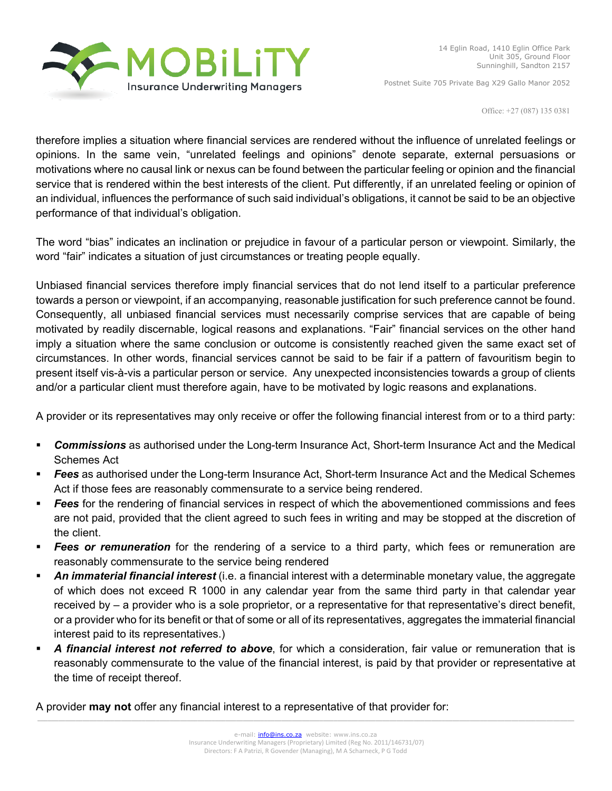

Office: +27 (087) 135 0381

therefore implies a situation where financial services are rendered without the influence of unrelated feelings or opinions. In the same vein, "unrelated feelings and opinions" denote separate, external persuasions or motivations where no causal link or nexus can be found between the particular feeling or opinion and the financial service that is rendered within the best interests of the client. Put differently, if an unrelated feeling or opinion of an individual, influences the performance of such said individual's obligations, it cannot be said to be an objective performance of that individual's obligation.

The word "bias" indicates an inclination or prejudice in favour of a particular person or viewpoint. Similarly, the word "fair" indicates a situation of just circumstances or treating people equally.

Unbiased financial services therefore imply financial services that do not lend itself to a particular preference towards a person or viewpoint, if an accompanying, reasonable justification for such preference cannot be found. Consequently, all unbiased financial services must necessarily comprise services that are capable of being motivated by readily discernable, logical reasons and explanations. "Fair" financial services on the other hand imply a situation where the same conclusion or outcome is consistently reached given the same exact set of circumstances. In other words, financial services cannot be said to be fair if a pattern of favouritism begin to present itself vis-à-vis a particular person or service. Any unexpected inconsistencies towards a group of clients and/or a particular client must therefore again, have to be motivated by logic reasons and explanations.

A provider or its representatives may only receive or offer the following financial interest from or to a third party:

- *Commissions* as authorised under the Long-term Insurance Act, Short-term Insurance Act and the Medical Schemes Act
- *Fees* as authorised under the Long-term Insurance Act, Short-term Insurance Act and the Medical Schemes Act if those fees are reasonably commensurate to a service being rendered.
- *Fees* for the rendering of financial services in respect of which the abovementioned commissions and fees are not paid, provided that the client agreed to such fees in writing and may be stopped at the discretion of the client.
- *Fees or remuneration* for the rendering of a service to a third party, which fees or remuneration are reasonably commensurate to the service being rendered
- *An immaterial financial interest* (i.e. a financial interest with a determinable monetary value, the aggregate of which does not exceed R 1000 in any calendar year from the same third party in that calendar year received by – a provider who is a sole proprietor, or a representative for that representative's direct benefit, or a provider who for its benefit or that of some or all of its representatives, aggregates the immaterial financial interest paid to its representatives.)
- *A financial interest not referred to above*, for which a consideration, fair value or remuneration that is reasonably commensurate to the value of the financial interest, is paid by that provider or representative at the time of receipt thereof.

A provider **may not** offer any financial interest to a representative of that provider for: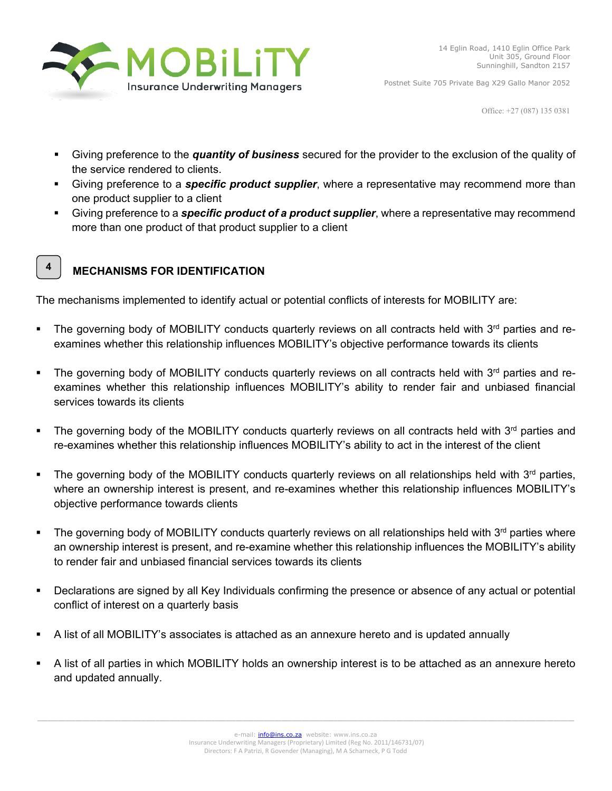

Office: +27 (087) 135 0381

- Giving preference to the *quantity of business* secured for the provider to the exclusion of the quality of the service rendered to clients.
- Giving preference to a *specific product supplier*, where a representative may recommend more than one product supplier to a client
- Giving preference to a *specific product of a product supplier*, where a representative may recommend more than one product of that product supplier to a client



## **MECHANISMS FOR IDENTIFICATION**

The mechanisms implemented to identify actual or potential conflicts of interests for MOBILITY are:

- The governing body of MOBILITY conducts quarterly reviews on all contracts held with 3<sup>rd</sup> parties and reexamines whether this relationship influences MOBILITY's objective performance towards its clients
- The governing body of MOBILITY conducts quarterly reviews on all contracts held with 3<sup>rd</sup> parties and reexamines whether this relationship influences MOBILITY's ability to render fair and unbiased financial services towards its clients
- The governing body of the MOBILITY conducts quarterly reviews on all contracts held with  $3<sup>rd</sup>$  parties and re-examines whether this relationship influences MOBILITY's ability to act in the interest of the client
- The governing body of the MOBILITY conducts quarterly reviews on all relationships held with  $3<sup>rd</sup>$  parties, where an ownership interest is present, and re-examines whether this relationship influences MOBILITY's objective performance towards clients
- The governing body of MOBILITY conducts quarterly reviews on all relationships held with  $3<sup>rd</sup>$  parties where an ownership interest is present, and re-examine whether this relationship influences the MOBILITY's ability to render fair and unbiased financial services towards its clients
- Declarations are signed by all Key Individuals confirming the presence or absence of any actual or potential conflict of interest on a quarterly basis
- A list of all MOBILITY's associates is attached as an annexure hereto and is updated annually
- A list of all parties in which MOBILITY holds an ownership interest is to be attached as an annexure hereto and updated annually.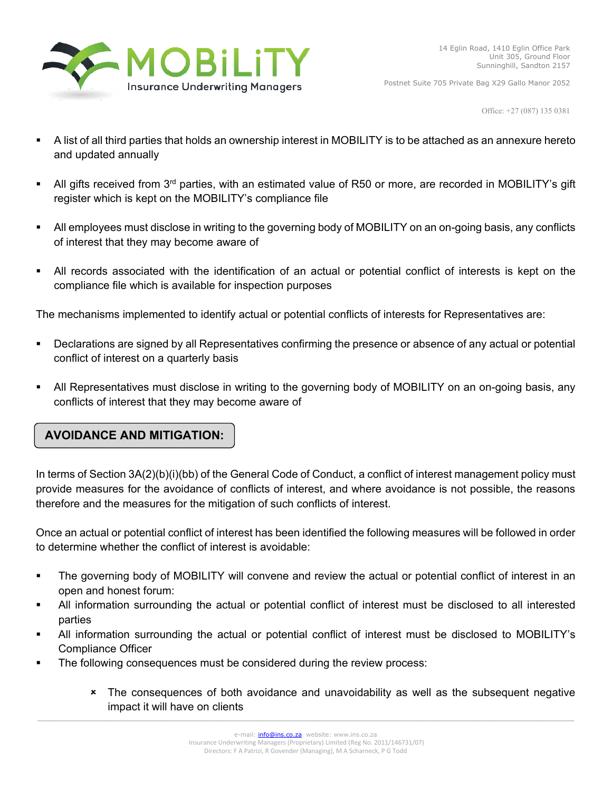

Office: +27 (087) 135 0381

- A list of all third parties that holds an ownership interest in MOBILITY is to be attached as an annexure hereto and updated annually
- All gifts received from 3<sup>rd</sup> parties, with an estimated value of R50 or more, are recorded in MOBILITY's gift register which is kept on the MOBILITY's compliance file
- All employees must disclose in writing to the governing body of MOBILITY on an on-going basis, any conflicts of interest that they may become aware of
- All records associated with the identification of an actual or potential conflict of interests is kept on the compliance file which is available for inspection purposes

The mechanisms implemented to identify actual or potential conflicts of interests for Representatives are:

- Declarations are signed by all Representatives confirming the presence or absence of any actual or potential conflict of interest on a quarterly basis
- All Representatives must disclose in writing to the governing body of MOBILITY on an on-going basis, any conflicts of interest that they may become aware of

## **AVOIDANCE AND MITIGATION:**

In terms of Section 3A(2)(b)(i)(bb) of the General Code of Conduct, a conflict of interest management policy must provide measures for the avoidance of conflicts of interest, and where avoidance is not possible, the reasons therefore and the measures for the mitigation of such conflicts of interest.

Once an actual or potential conflict of interest has been identified the following measures will be followed in order to determine whether the conflict of interest is avoidable:

- The governing body of MOBILITY will convene and review the actual or potential conflict of interest in an open and honest forum:
- All information surrounding the actual or potential conflict of interest must be disclosed to all interested parties
- All information surrounding the actual or potential conflict of interest must be disclosed to MOBILITY's Compliance Officer
- The following consequences must be considered during the review process:
	- \* The consequences of both avoidance and unavoidability as well as the subsequent negative impact it will have on clients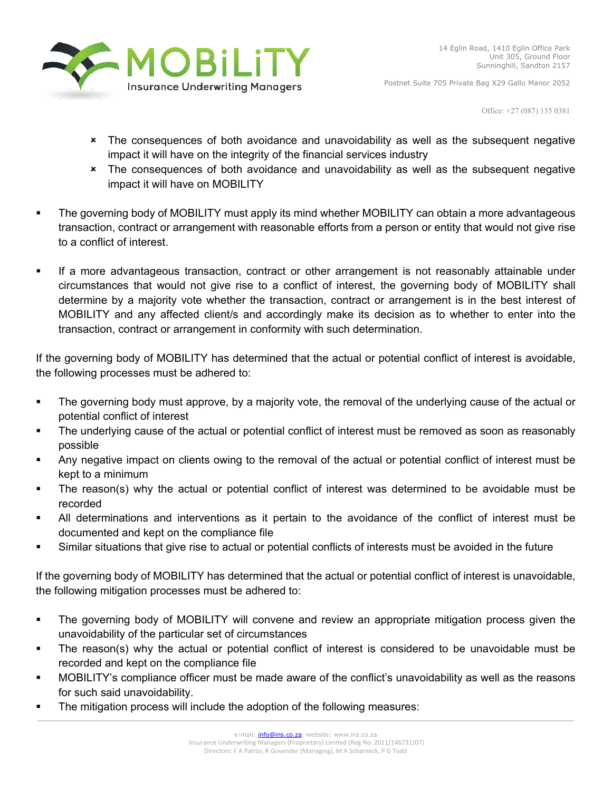

Office: +27 (087) 135 0381

- The consequences of both avoidance and unavoidability as well as the subsequent negative impact it will have on the integrity of the financial services industry
- The consequences of both avoidance and unavoidability as well as the subsequent negative impact it will have on MOBILITY
- The governing body of MOBILITY must apply its mind whether MOBILITY can obtain a more advantageous transaction, contract or arrangement with reasonable efforts from a person or entity that would not give rise to a conflict of interest.
- If a more advantageous transaction, contract or other arrangement is not reasonably attainable under circumstances that would not give rise to a conflict of interest, the governing body of MOBILITY shall determine by a majority vote whether the transaction, contract or arrangement is in the best interest of MOBILITY and any affected client/s and accordingly make its decision as to whether to enter into the transaction, contract or arrangement in conformity with such determination.

If the governing body of MOBILITY has determined that the actual or potential conflict of interest is avoidable, the following processes must be adhered to:

- The governing body must approve, by a majority vote, the removal of the underlying cause of the actual or potential conflict of interest
- The underlying cause of the actual or potential conflict of interest must be removed as soon as reasonably possible
- Any negative impact on clients owing to the removal of the actual or potential conflict of interest must be kept to a minimum
- The reason(s) why the actual or potential conflict of interest was determined to be avoidable must be recorded
- All determinations and interventions as it pertain to the avoidance of the conflict of interest must be documented and kept on the compliance file
- Similar situations that give rise to actual or potential conflicts of interests must be avoided in the future

If the governing body of MOBILITY has determined that the actual or potential conflict of interest is unavoidable, the following mitigation processes must be adhered to:

- The governing body of MOBILITY will convene and review an appropriate mitigation process given the unavoidability of the particular set of circumstances
- The reason(s) why the actual or potential conflict of interest is considered to be unavoidable must be recorded and kept on the compliance file
- MOBILITY's compliance officer must be made aware of the conflict's unavoidability as well as the reasons for such said unavoidability.
- The mitigation process will include the adoption of the following measures: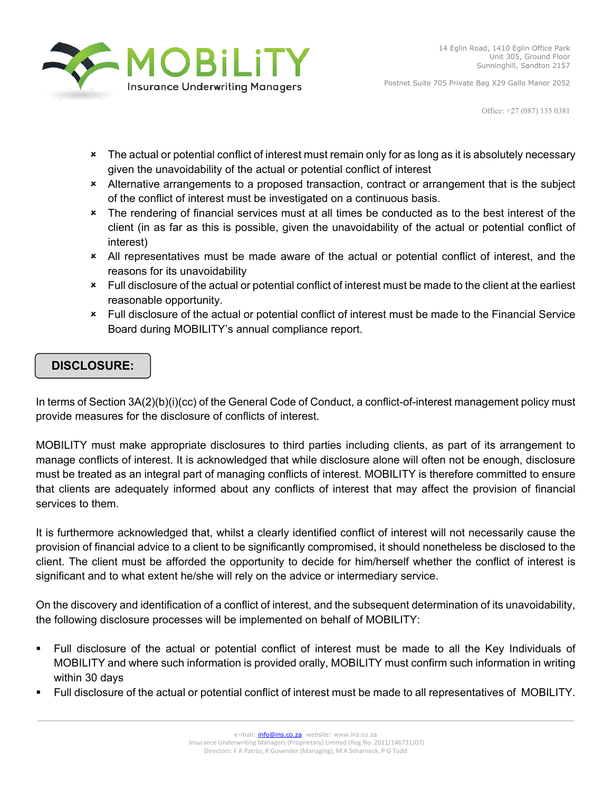

Office: +27 (087) 135 0381

- \* The actual or potential conflict of interest must remain only for as long as it is absolutely necessary given the unavoidability of the actual or potential conflict of interest
- Alternative arrangements to a proposed transaction, contract or arrangement that is the subject of the conflict of interest must be investigated on a continuous basis.
- The rendering of financial services must at all times be conducted as to the best interest of the client (in as far as this is possible, given the unavoidability of the actual or potential conflict of interest)
- All representatives must be made aware of the actual or potential conflict of interest, and the reasons for its unavoidability
- Full disclosure of the actual or potential conflict of interest must be made to the client at the earliest reasonable opportunity.
- Full disclosure of the actual or potential conflict of interest must be made to the Financial Service Board during MOBILITY's annual compliance report.

## **DISCLOSURE:**

In terms of Section 3A(2)(b)(i)(cc) of the General Code of Conduct, a conflict-of-interest management policy must provide measures for the disclosure of conflicts of interest.

MOBILITY must make appropriate disclosures to third parties including clients, as part of its arrangement to manage conflicts of interest. It is acknowledged that while disclosure alone will often not be enough, disclosure must be treated as an integral part of managing conflicts of interest. MOBILITY is therefore committed to ensure that clients are adequately informed about any conflicts of interest that may affect the provision of financial services to them.

It is furthermore acknowledged that, whilst a clearly identified conflict of interest will not necessarily cause the provision of financial advice to a client to be significantly compromised, it should nonetheless be disclosed to the client. The client must be afforded the opportunity to decide for him/herself whether the conflict of interest is significant and to what extent he/she will rely on the advice or intermediary service.

On the discovery and identification of a conflict of interest, and the subsequent determination of its unavoidability, the following disclosure processes will be implemented on behalf of MOBILITY:

- Full disclosure of the actual or potential conflict of interest must be made to all the Key Individuals of MOBILITY and where such information is provided orally, MOBILITY must confirm such information in writing within 30 days
- Full disclosure of the actual or potential conflict of interest must be made to all representatives of MOBILITY.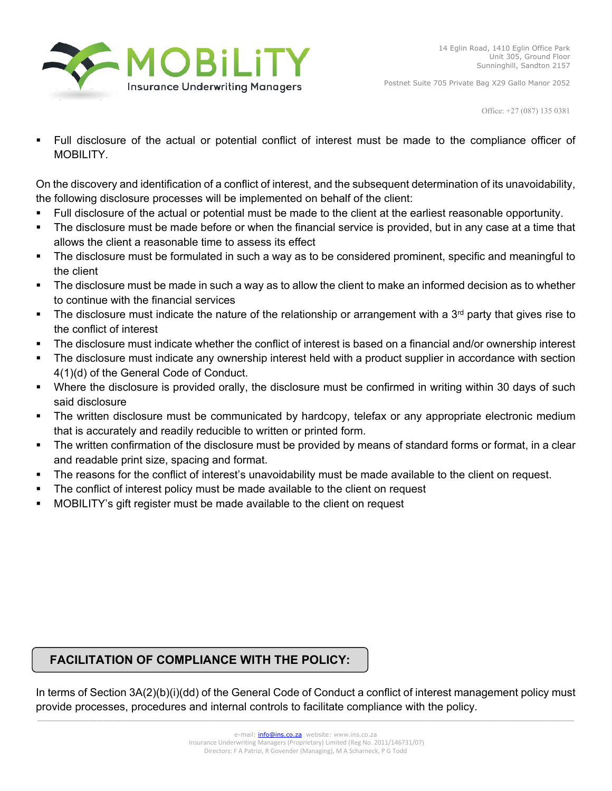

Office: +27 (087) 135 0381

 Full disclosure of the actual or potential conflict of interest must be made to the compliance officer of MOBILITY.

On the discovery and identification of a conflict of interest, and the subsequent determination of its unavoidability, the following disclosure processes will be implemented on behalf of the client:

- Full disclosure of the actual or potential must be made to the client at the earliest reasonable opportunity.
- The disclosure must be made before or when the financial service is provided, but in any case at a time that allows the client a reasonable time to assess its effect
- The disclosure must be formulated in such a way as to be considered prominent, specific and meaningful to the client
- The disclosure must be made in such a way as to allow the client to make an informed decision as to whether to continue with the financial services
- The disclosure must indicate the nature of the relationship or arrangement with a  $3<sup>rd</sup>$  party that gives rise to the conflict of interest
- The disclosure must indicate whether the conflict of interest is based on a financial and/or ownership interest
- The disclosure must indicate any ownership interest held with a product supplier in accordance with section 4(1)(d) of the General Code of Conduct.
- Where the disclosure is provided orally, the disclosure must be confirmed in writing within 30 days of such said disclosure
- The written disclosure must be communicated by hardcopy, telefax or any appropriate electronic medium that is accurately and readily reducible to written or printed form.
- The written confirmation of the disclosure must be provided by means of standard forms or format, in a clear and readable print size, spacing and format.
- The reasons for the conflict of interest's unavoidability must be made available to the client on request.
- The conflict of interest policy must be made available to the client on request
- MOBILITY's gift register must be made available to the client on request

## **FACILITATION OF COMPLIANCE WITH THE POLICY:**

\_\_\_\_\_\_\_\_\_\_\_\_\_\_\_\_\_\_\_\_\_\_\_\_\_\_\_\_\_\_\_\_\_\_\_\_\_\_\_\_\_\_\_\_\_\_\_\_\_\_\_\_\_\_\_\_\_\_\_\_\_\_\_\_\_\_\_\_\_\_\_\_\_\_\_\_\_\_\_\_\_\_\_\_\_\_\_\_\_\_\_\_\_\_\_\_\_\_\_\_\_\_\_\_\_\_\_\_\_\_\_\_\_\_\_\_\_\_\_\_\_\_\_\_\_\_\_\_\_\_\_\_\_\_\_\_\_\_\_\_\_\_\_\_\_\_\_\_\_\_\_\_\_\_ In terms of Section 3A(2)(b)(i)(dd) of the General Code of Conduct a conflict of interest management policy must provide processes, procedures and internal controls to facilitate compliance with the policy.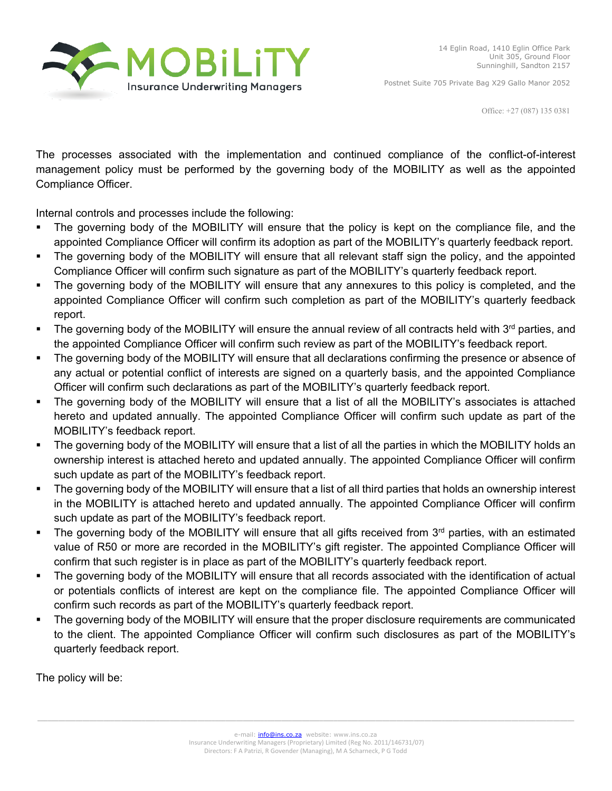

Office: +27 (087) 135 0381

The processes associated with the implementation and continued compliance of the conflict-of-interest management policy must be performed by the governing body of the MOBILITY as well as the appointed Compliance Officer.

Internal controls and processes include the following:

- The governing body of the MOBILITY will ensure that the policy is kept on the compliance file, and the appointed Compliance Officer will confirm its adoption as part of the MOBILITY's quarterly feedback report.
- The governing body of the MOBILITY will ensure that all relevant staff sign the policy, and the appointed Compliance Officer will confirm such signature as part of the MOBILITY's quarterly feedback report.
- The governing body of the MOBILITY will ensure that any annexures to this policy is completed, and the appointed Compliance Officer will confirm such completion as part of the MOBILITY's quarterly feedback report.
- The governing body of the MOBILITY will ensure the annual review of all contracts held with 3<sup>rd</sup> parties, and the appointed Compliance Officer will confirm such review as part of the MOBILITY's feedback report.
- The governing body of the MOBILITY will ensure that all declarations confirming the presence or absence of any actual or potential conflict of interests are signed on a quarterly basis, and the appointed Compliance Officer will confirm such declarations as part of the MOBILITY's quarterly feedback report.
- The governing body of the MOBILITY will ensure that a list of all the MOBILITY's associates is attached hereto and updated annually. The appointed Compliance Officer will confirm such update as part of the MOBILITY's feedback report.
- The governing body of the MOBILITY will ensure that a list of all the parties in which the MOBILITY holds an ownership interest is attached hereto and updated annually. The appointed Compliance Officer will confirm such update as part of the MOBILITY's feedback report.
- The governing body of the MOBILITY will ensure that a list of all third parties that holds an ownership interest in the MOBILITY is attached hereto and updated annually. The appointed Compliance Officer will confirm such update as part of the MOBILITY's feedback report.
- The governing body of the MOBILITY will ensure that all gifts received from 3<sup>rd</sup> parties, with an estimated value of R50 or more are recorded in the MOBILITY's gift register. The appointed Compliance Officer will confirm that such register is in place as part of the MOBILITY's quarterly feedback report.
- The governing body of the MOBILITY will ensure that all records associated with the identification of actual or potentials conflicts of interest are kept on the compliance file. The appointed Compliance Officer will confirm such records as part of the MOBILITY's quarterly feedback report.
- The governing body of the MOBILITY will ensure that the proper disclosure requirements are communicated to the client. The appointed Compliance Officer will confirm such disclosures as part of the MOBILITY's quarterly feedback report.

The policy will be: